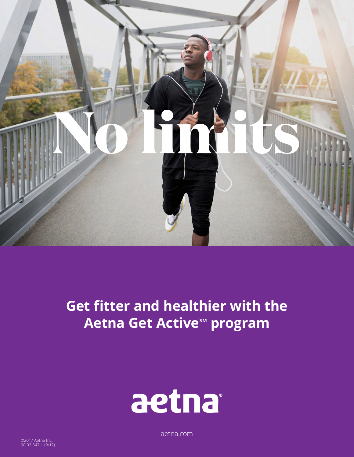

## **Get fitter and healthier with the Aetna Get Active<sup>sM</sup> program**



[aetna.com](http://aetna.com)